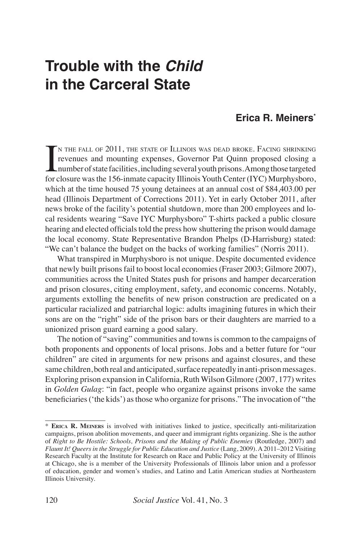# **Trouble with the** *Child* **in the Carceral State**

# **Erica R. Meiners\***

 $\prod_{\text{for } \alpha}$ N THE FALL OF 2011, THE STATE OF ILLINOIS WAS DEAD BROKE. FACING SHRINKING revenues and mounting expenses, Governor Pat Quinn proposed closing a number of state facilities, including several youth prisons. Among those targeted for closure was the 156-inmate capacity Illinois Youth Center (IYC) Murphysboro, which at the time housed 75 young detainees at an annual cost of \$84,403.00 per head (Illinois Department of Corrections 2011). Yet in early October 2011, after news broke of the facility's potential shutdown, more than 200 employees and local residents wearing "Save IYC Murphysboro" T-shirts packed a public closure hearing and elected officials told the press how shuttering the prison would damage the local economy. State Representative Brandon Phelps (D-Harrisburg) stated: "We can't balance the budget on the backs of working families" (Norris 2011).

What transpired in Murphysboro is not unique. Despite documented evidence that newly built prisons fail to boost local economies (Fraser 2003; Gilmore 2007), communities across the United States push for prisons and hamper decarceration and prison closures, citing employment, safety, and economic concerns. Notably, arguments extolling the benefits of new prison construction are predicated on a particular racialized and patriarchal logic: adults imagining futures in which their sons are on the "right" side of the prison bars or their daughters are married to a unionized prison guard earning a good salary.

The notion of "saving" communities and towns is common to the campaigns of both proponents and opponents of local prisons. Jobs and a better future for "our children" are cited in arguments for new prisons and against closures, and these same children, both real and anticipated, surface repeatedly in anti-prison messages. Exploring prison expansion in California, Ruth Wilson Gilmore (2007, 177) writes in *Golden Gulag*: "in fact, people who organize against prisons invoke the same beneficiaries ('the kids') as those who organize for prisons." The invocation of "the

<sup>\*</sup> **Erica R. Meiners** is involved with initiatives linked to justice, specifically anti-militarization campaigns, prison abolition movements, and queer and immigrant rights organizing. She is the author of *Right to Be Hostile: Schools, Prisons and the Making of Public Enemies* (Routledge, 2007) and *Flaunt It! Queers in the Struggle for Public Education and Justice* (Lang, 2009)*.* A 2011–2012 Visiting Research Faculty at the Institute for Research on Race and Public Policy at the University of Illinois at Chicago, she is a member of the University Professionals of Illinois labor union and a professor of education, gender and women's studies, and Latino and Latin American studies at Northeastern Illinois University.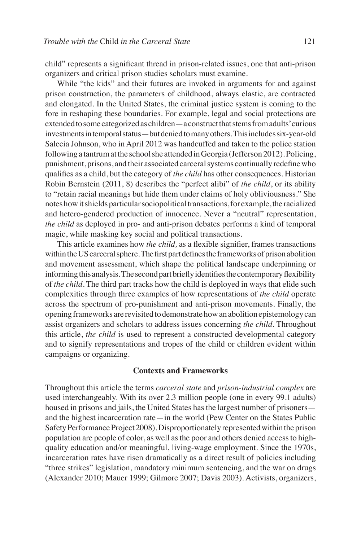child" represents a significant thread in prison-related issues, one that anti-prison organizers and critical prison studies scholars must examine.

While "the kids" and their futures are invoked in arguments for and against prison construction, the parameters of childhood, always elastic, are contracted and elongated. In the United States, the criminal justice system is coming to the fore in reshaping these boundaries. For example, legal and social protections are extended to some categorized as children—a construct that stems from adults' curious investments in temporal status—but denied to many others. This includes six-year-old Salecia Johnson, who in April 2012 was handcuffed and taken to the police station following a tantrum at the school she attended in Georgia (Jefferson 2012). Policing, punishment, prisons, and their associated carceral systems continually redefine who qualifies as a child, but the category of *the child* has other consequences. Historian Robin Bernstein (2011, 8) describes the "perfect alibi" of *the child*, or its ability to "retain racial meanings but hide them under claims of holy obliviousness." She notes how it shields particular sociopolitical transactions, for example, the racialized and hetero-gendered production of innocence. Never a "neutral" representation, *the child* as deployed in pro- and anti-prison debates performs a kind of temporal magic, while masking key social and political transactions.

This article examines how *the child,* as a flexible signifier, frames transactions within the US carceral sphere. The first part defines the frameworks of prison abolition and movement assessment, which shape the political landscape underpinning or informing this analysis. The second part briefly identifies the contemporary flexibility of *the child*. The third part tracks how the child is deployed in ways that elide such complexities through three examples of how representations of *the child* operate across the spectrum of pro-punishment and anti-prison movements. Finally, the opening frameworks are revisited to demonstrate how an abolition epistemology can assist organizers and scholars to address issues concerning *the child*. Throughout this article, *the child* is used to represent a constructed developmental category and to signify representations and tropes of the child or children evident within campaigns or organizing.

## **Contexts and Frameworks**

Throughout this article the terms *carceral state* and *prison-industrial complex* are used interchangeably. With its over 2.3 million people (one in every 99.1 adults) housed in prisons and jails, the United States has the largest number of prisoners and the highest incarceration rate—in the world (Pew Center on the States Public Safety Performance Project 2008). Disproportionately represented within the prison population are people of color, as well as the poor and others denied access to highquality education and/or meaningful, living-wage employment. Since the 1970s, incarceration rates have risen dramatically as a direct result of policies including "three strikes" legislation, mandatory minimum sentencing, and the war on drugs (Alexander 2010; Mauer 1999; Gilmore 2007; Davis 2003). Activists, organizers,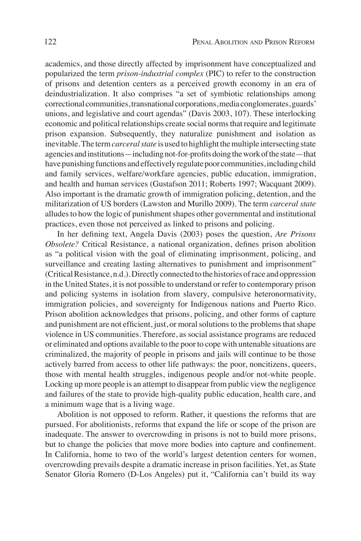academics, and those directly affected by imprisonment have conceptualized and popularized the term *prison-industrial complex* (PIC) to refer to the construction of prisons and detention centers as a perceived growth economy in an era of deindustrialization. It also comprises "a set of symbiotic relationships among correctional communities, transnational corporations, media conglomerates, guards' unions, and legislative and court agendas" (Davis 2003, 107). These interlocking economic and political relationships create social norms that require and legitimate prison expansion. Subsequently, they naturalize punishment and isolation as inevitable. The term *carceral state* is used to highlight the multiple intersecting state agencies and institutions—including not-for-profits doing the work of the state—that have punishing functions and effectively regulate poor communities, including child and family services, welfare/workfare agencies, public education, immigration, and health and human services (Gustafson 2011; Roberts 1997; Wacquant 2009). Also important is the dramatic growth of immigration policing, detention, and the militarization of US borders (Lawston and Murillo 2009). The term *carceral state*  alludes to how the logic of punishment shapes other governmental and institutional practices, even those not perceived as linked to prisons and policing.

In her defining text, Angela Davis (2003) poses the question, *Are Prisons Obsolete?* Critical Resistance, a national organization, defines prison abolition as "a political vision with the goal of eliminating imprisonment, policing, and surveillance and creating lasting alternatives to punishment and imprisonment" (Critical Resistance, n.d.). Directly connected to the histories of race and oppression in the United States, it is not possible to understand or refer to contemporary prison and policing systems in isolation from slavery, compulsive heteronormativity, immigration policies, and sovereignty for Indigenous nations and Puerto Rico. Prison abolition acknowledges that prisons, policing, and other forms of capture and punishment are not efficient, just, or moral solutions to the problems that shape violence in US communities. Therefore, as social assistance programs are reduced or eliminated and options available to the poor to cope with untenable situations are criminalized, the majority of people in prisons and jails will continue to be those actively barred from access to other life pathways: the poor, noncitizens, queers, those with mental health struggles, indigenous people and/or not-white people. Locking up more people is an attempt to disappear from public view the negligence and failures of the state to provide high-quality public education, health care, and a minimum wage that is a living wage.

Abolition is not opposed to reform. Rather, it questions the reforms that are pursued. For abolitionists, reforms that expand the life or scope of the prison are inadequate. The answer to overcrowding in prisons is not to build more prisons, but to change the policies that move more bodies into capture and confinement. In California, home to two of the world's largest detention centers for women, overcrowding prevails despite a dramatic increase in prison facilities. Yet, as State Senator Gloria Romero (D-Los Angeles) put it, "California can't build its way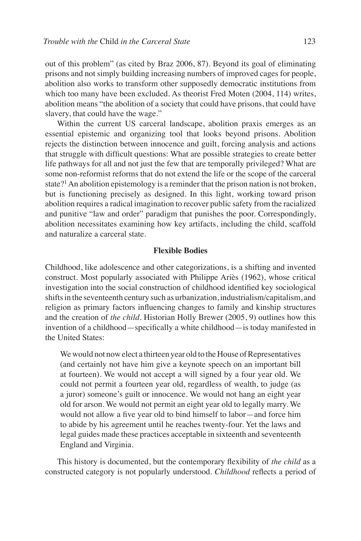out of this problem" (as cited by Braz 2006, 87). Beyond its goal of eliminating prisons and not simply building increasing numbers of improved cages for people, abolition also works to transform other supposedly democratic institutions from which too many have been excluded. As theorist Fred Moten (2004, 114) writes, abolition means "the abolition of a society that could have prisons, that could have slavery, that could have the wage."

Within the current US carceral landscape, abolition praxis emerges as an essential epistemic and organizing tool that looks beyond prisons. Abolition rejects the distinction between innocence and guilt, forcing analysis and actions that struggle with difficult questions: What are possible strategies to create better life pathways for all and not just the few that are temporally privileged? What are some non-reformist reforms that do not extend the life or the scope of the carceral state?<sup>1</sup> An abolition epistemology is a reminder that the prison nation is not broken, but is functioning precisely as designed. In this light, working toward prison abolition requires a radical imagination to recover public safety from the racialized and punitive "law and order" paradigm that punishes the poor. Correspondingly, abolition necessitates examining how key artifacts, including the child, scaffold and naturalize a carceral state.

#### **Flexible Bodies**

Childhood, like adolescence and other categorizations, is a shifting and invented construct. Most popularly associated with Philippe Ariès (1962), whose critical investigation into the social construction of childhood identified key sociological shifts in the seventeenth century such as urbanization, industrialism/capitalism, and religion as primary factors influencing changes to family and kinship structures and the creation of *the child*. Historian Holly Brewer (2005, 9) outlines how this invention of a childhood—specifically a white childhood—is today manifested in the United States:

We would not now elect a thirteen year old to the House of Representatives (and certainly not have him give a keynote speech on an important bill at fourteen). We would not accept a will signed by a four year old. We could not permit a fourteen year old, regardless of wealth, to judge (as a juror) someone's guilt or innocence. We would not hang an eight year old for arson. We would not permit an eight year old to legally marry. We would not allow a five year old to bind himself to labor—and force him to abide by his agreement until he reaches twenty-four. Yet the laws and legal guides made these practices acceptable in sixteenth and seventeenth England and Virginia.

This history is documented, but the contemporary flexibility of *the child* as a constructed category is not popularly understood. *Childhood* reflects a period of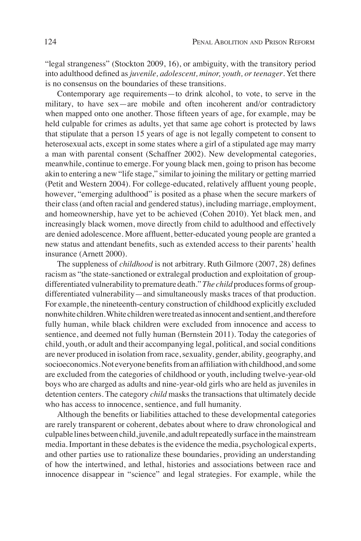"legal strangeness" (Stockton 2009, 16), or ambiguity, with the transitory period into adulthood defined as *juvenile, adolescent, minor, youth, or teenager*. Yet there is no consensus on the boundaries of these transitions.

Contemporary age requirements—to drink alcohol, to vote, to serve in the military, to have sex—are mobile and often incoherent and/or contradictory when mapped onto one another. Those fifteen years of age, for example, may be held culpable for crimes as adults, yet that same age cohort is protected by laws that stipulate that a person 15 years of age is not legally competent to consent to heterosexual acts, except in some states where a girl of a stipulated age may marry a man with parental consent (Schaffner 2002). New developmental categories, meanwhile, continue to emerge. For young black men, going to prison has become akin to entering a new "life stage," similar to joining the military or getting married (Petit and Western 2004). For college-educated, relatively affluent young people, however, "emerging adulthood" is posited as a phase when the secure markers of their class (and often racial and gendered status), including marriage, employment, and homeownership, have yet to be achieved (Cohen 2010). Yet black men, and increasingly black women, move directly from child to adulthood and effectively are denied adolescence. More affluent, better-educated young people are granted a new status and attendant benefits, such as extended access to their parents' health insurance (Arnett 2000).

The suppleness of *childhood* is not arbitrary. Ruth Gilmore (2007, 28) defines racism as "the state-sanctioned or extralegal production and exploitation of groupdifferentiated vulnerability to premature death." *The child* produces forms of groupdifferentiated vulnerability—and simultaneously masks traces of that production. For example, the nineteenth-century construction of childhood explicitly excluded nonwhite children. White children were treated as innocent and sentient, and therefore fully human, while black children were excluded from innocence and access to sentience, and deemed not fully human (Bernstein 2011). Today the categories of child, youth, or adult and their accompanying legal, political, and social conditions are never produced in isolation from race, sexuality, gender, ability, geography, and socioeconomics. Not everyone benefits from an affiliation with childhood, and some are excluded from the categories of childhood or youth, including twelve-year-old boys who are charged as adults and nine-year-old girls who are held as juveniles in detention centers. The category *child* masks the transactions that ultimately decide who has access to innocence, sentience, and full humanity.

Although the benefits or liabilities attached to these developmental categories are rarely transparent or coherent, debates about where to draw chronological and culpable lines between child, juvenile, and adult repeatedly surface in the mainstream media. Important in these debates is the evidence the media, psychological experts, and other parties use to rationalize these boundaries, providing an understanding of how the intertwined, and lethal, histories and associations between race and innocence disappear in "science" and legal strategies. For example, while the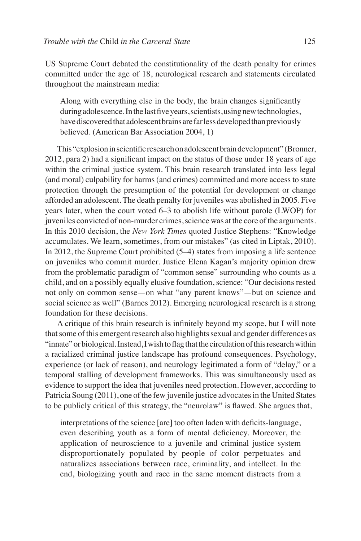US Supreme Court debated the constitutionality of the death penalty for crimes committed under the age of 18, neurological research and statements circulated throughout the mainstream media:

Along with everything else in the body, the brain changes significantly during adolescence. In the last five years, scientists, using new technologies, have discovered that adolescent brains are far less developed than previously believed. (American Bar Association 2004, 1)

This "explosion in scientific research on adolescent brain development" (Bronner, 2012, para 2) had a significant impact on the status of those under 18 years of age within the criminal justice system. This brain research translated into less legal (and moral) culpability for harms (and crimes) committed and more access to state protection through the presumption of the potential for development or change afforded an adolescent. The death penalty for juveniles was abolished in 2005. Five years later, when the court voted 6–3 to abolish life without parole (LWOP) for juveniles convicted of non-murder crimes, science was at the core of the arguments. In this 2010 decision, the *New York Times* quoted Justice Stephens: "Knowledge accumulates. We learn, sometimes, from our mistakes" (as cited in Liptak, 2010). In 2012, the Supreme Court prohibited (5–4) states from imposing a life sentence on juveniles who commit murder. Justice Elena Kagan's majority opinion drew from the problematic paradigm of "common sense" surrounding who counts as a child, and on a possibly equally elusive foundation, science: "Our decisions rested not only on common sense—on what "any parent knows"—but on science and social science as well" (Barnes 2012). Emerging neurological research is a strong foundation for these decisions.

A critique of this brain research is infinitely beyond my scope, but I will note that some of this emergent research also highlights sexual and gender differences as "innate" or biological. Instead, I wish to flag that the circulation of this research within a racialized criminal justice landscape has profound consequences. Psychology, experience (or lack of reason), and neurology legitimated a form of "delay," or a temporal stalling of development frameworks. This was simultaneously used as evidence to support the idea that juveniles need protection. However, according to Patricia Soung (2011), one of the few juvenile justice advocates in the United States to be publicly critical of this strategy, the "neurolaw" is flawed. She argues that,

interpretations of the science [are] too often laden with deficits-language, even describing youth as a form of mental deficiency. Moreover, the application of neuroscience to a juvenile and criminal justice system disproportionately populated by people of color perpetuates and naturalizes associations between race, criminality, and intellect. In the end, biologizing youth and race in the same moment distracts from a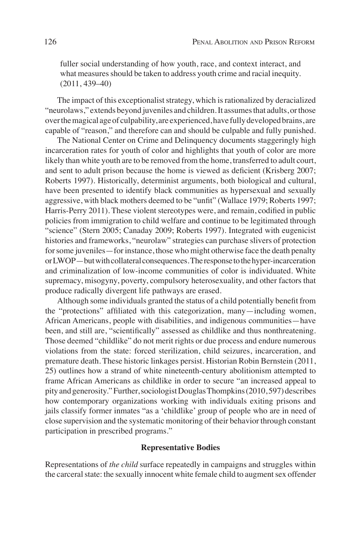fuller social understanding of how youth, race, and context interact, and what measures should be taken to address youth crime and racial inequity. (2011, 439–40)

The impact of this exceptionalist strategy, which is rationalized by deracialized "neurolaws," extends beyond juveniles and children. It assumes that adults, or those over the magical age of culpability, are experienced, have fully developed brains, are capable of "reason," and therefore can and should be culpable and fully punished.

The National Center on Crime and Delinquency documents staggeringly high incarceration rates for youth of color and highlights that youth of color are more likely than white youth are to be removed from the home, transferred to adult court, and sent to adult prison because the home is viewed as deficient (Krisberg 2007; Roberts 1997). Historically, determinist arguments, both biological and cultural, have been presented to identify black communities as hypersexual and sexually aggressive, with black mothers deemed to be "unfit" (Wallace 1979; Roberts 1997; Harris-Perry 2011). These violent stereotypes were, and remain, codified in public policies from immigration to child welfare and continue to be legitimated through "science" (Stern 2005; Canaday 2009; Roberts 1997). Integrated with eugenicist histories and frameworks, "neurolaw" strategies can purchase slivers of protection for some juveniles—for instance, those who might otherwise face the death penalty or LWOP—but with collateral consequences. The response to the hyper-incarceration and criminalization of low-income communities of color is individuated. White supremacy, misogyny, poverty, compulsory heterosexuality, and other factors that produce radically divergent life pathways are erased.

Although some individuals granted the status of a child potentially benefit from the "protections" affiliated with this categorization, many—including women, African Americans, people with disabilities, and indigenous communities—have been, and still are, "scientifically" assessed as childlike and thus nonthreatening. Those deemed "childlike" do not merit rights or due process and endure numerous violations from the state: forced sterilization, child seizures, incarceration, and premature death. These historic linkages persist. Historian Robin Bernstein (2011, 25) outlines how a strand of white nineteenth-century abolitionism attempted to frame African Americans as childlike in order to secure "an increased appeal to pity and generosity." Further, sociologist Douglas Thompkins (2010, 597) describes how contemporary organizations working with individuals exiting prisons and jails classify former inmates "as a 'childlike' group of people who are in need of close supervision and the systematic monitoring of their behavior through constant participation in prescribed programs."

## **Representative Bodies**

Representations of *the child* surface repeatedly in campaigns and struggles within the carceral state: the sexually innocent white female child to augment sex offender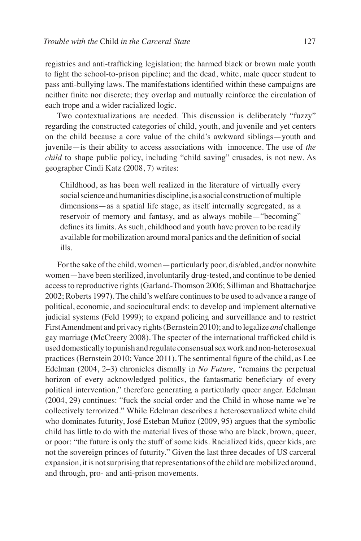registries and anti-trafficking legislation; the harmed black or brown male youth to fight the school-to-prison pipeline; and the dead, white, male queer student to pass anti-bullying laws. The manifestations identified within these campaigns are neither finite nor discrete; they overlap and mutually reinforce the circulation of each trope and a wider racialized logic.

Two contextualizations are needed. This discussion is deliberately "fuzzy" regarding the constructed categories of child, youth, and juvenile and yet centers on the child because a core value of the child's awkward siblings—youth and juvenile—is their ability to access associations with innocence. The use of *the child* to shape public policy, including "child saving" crusades, is not new. As geographer Cindi Katz (2008, 7) writes:

Childhood, as has been well realized in the literature of virtually every social science and humanities discipline, is a social construction of multiple dimensions—as a spatial life stage, as itself internally segregated, as a reservoir of memory and fantasy, and as always mobile—"becoming" defines its limits. As such, childhood and youth have proven to be readily available for mobilization around moral panics and the definition of social ills.

For the sake of the child, women—particularly poor, dis/abled, and/or nonwhite women—have been sterilized, involuntarily drug-tested, and continue to be denied access to reproductive rights (Garland-Thomson 2006; Silliman and Bhattacharjee 2002; Roberts 1997). The child's welfare continues to be used to advance a range of political, economic, and sociocultural ends: to develop and implement alternative judicial systems (Feld 1999); to expand policing and surveillance and to restrict First Amendment and privacy rights (Bernstein 2010); and to legalize *and* challenge gay marriage (McCreery 2008). The specter of the international trafficked child is used domestically to punish and regulate consensual sex work and non-heterosexual practices (Bernstein 2010; Vance 2011). The sentimental figure of the child, as Lee Edelman (2004, 2–3) chronicles dismally in *No Future, "*remains the perpetual horizon of every acknowledged politics, the fantasmatic beneficiary of every political intervention," therefore generating a particularly queer anger. Edelman (2004, 29) continues: "fuck the social order and the Child in whose name we're collectively terrorized." While Edelman describes a heterosexualized white child who dominates futurity, José Esteban Muñoz (2009, 95) argues that the symbolic child has little to do with the material lives of those who are black, brown, queer, or poor: "the future is only the stuff of some kids. Racialized kids, queer kids, are not the sovereign princes of futurity." Given the last three decades of US carceral expansion, it is not surprising that representations of the child are mobilized around, and through, pro- and anti-prison movements.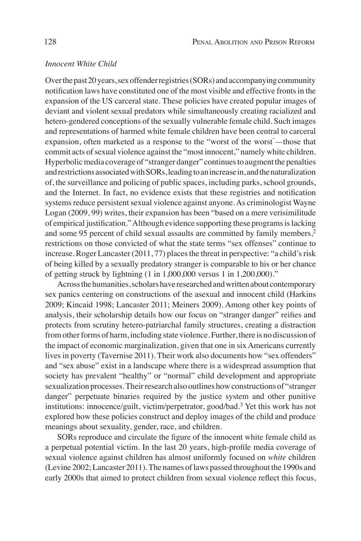# *Innocent White Child*

Over the past 20 years, sex offender registries (SORs) and accompanying community notification laws have constituted one of the most visible and effective fronts in the expansion of the US carceral state. These policies have created popular images of deviant and violent sexual predators while simultaneously creating racialized and hetero-gendered conceptions of the sexually vulnerable female child. Such images and representations of harmed white female children have been central to carceral expansion, often marketed as a response to the "worst of the worst<sup>"</sup>—those that commit acts of sexual violence against the "most innocent," namely white children. Hyperbolic media coverage of "stranger danger" continues to augment the penalties and restrictions associated with SORs, leading to an increase in, and the naturalization of, the surveillance and policing of public spaces, including parks, school grounds, and the Internet. In fact, no evidence exists that these registries and notification systems reduce persistent sexual violence against anyone. As criminologist Wayne Logan (2009, 99) writes, their expansion has been "based on a mere verisimilitude of empirical justification." Although evidence supporting these programs is lacking and some 95 percent of child sexual assaults are committed by family members,2 restrictions on those convicted of what the state terms "sex offenses" continue to increase. Roger Lancaster (2011, 77) places the threat in perspective: "a child's risk of being killed by a sexually predatory stranger is comparable to his or her chance of getting struck by lightning (1 in 1,000,000 versus 1 in 1,200,000)."

Across the humanities, scholars have researched and written about contemporary sex panics centering on constructions of the asexual and innocent child (Harkins 2009; Kincaid 1998; Lancaster 2011; Meiners 2009). Among other key points of analysis, their scholarship details how our focus on "stranger danger" reifies and protects from scrutiny hetero-patriarchal family structures, creating a distraction from other forms of harm, including state violence. Further, there is no discussion of the impact of economic marginalization, given that one in six Americans currently lives in poverty (Tavernise 2011). Their work also documents how "sex offenders" and "sex abuse" exist in a landscape where there is a widespread assumption that society has prevalent "healthy" or "normal" child development and appropriate sexualization processes. Their research also outlines how constructions of "stranger danger" perpetuate binaries required by the justice system and other punitive institutions: innocence/guilt, victim/perpetrator, good/bad.3 Yet this work has not explored how these policies construct and deploy images of the child and produce meanings about sexuality, gender, race, and children.

SORs reproduce and circulate the figure of the innocent white female child as a perpetual potential victim. In the last 20 years, high-profile media coverage of sexual violence against children has almost uniformly focused on *white* children (Levine 2002; Lancaster 2011). The names of laws passed throughout the 1990s and early 2000s that aimed to protect children from sexual violence reflect this focus,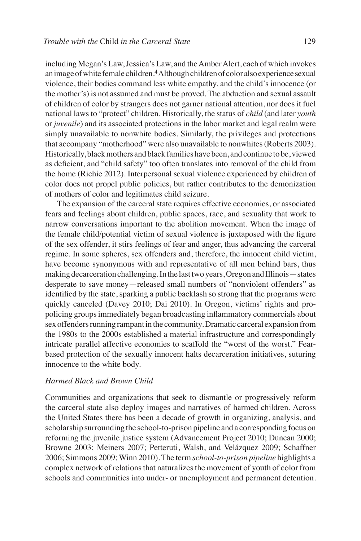including Megan's Law, Jessica's Law, and the Amber Alert, each of which invokes an image of white female children.<sup>4</sup> Although children of color also experience sexual violence, their bodies command less white empathy, and the child's innocence (or the mother's) is not assumed and must be proved. The abduction and sexual assault of children of color by strangers does not garner national attention, nor does it fuel national laws to "protect" children. Historically, the status of *child* (and later *youth* or *juvenile*) and its associated protections in the labor market and legal realm were simply unavailable to nonwhite bodies. Similarly, the privileges and protections that accompany "motherhood" were also unavailable to nonwhites (Roberts 2003). Historically, black mothers and black families have been, and continue to be, viewed as deficient, and "child safety" too often translates into removal of the child from the home (Richie 2012). Interpersonal sexual violence experienced by children of color does not propel public policies, but rather contributes to the demonization of mothers of color and legitimates child seizure.

The expansion of the carceral state requires effective economies, or associated fears and feelings about children, public spaces, race, and sexuality that work to narrow conversations important to the abolition movement. When the image of the female child/potential victim of sexual violence is juxtaposed with the figure of the sex offender, it stirs feelings of fear and anger, thus advancing the carceral regime. In some spheres, sex offenders and, therefore, the innocent child victim, have become synonymous with and representative of all men behind bars, thus making decarceration challenging. In the last two years, Oregon and Illinois—states desperate to save money—released small numbers of "nonviolent offenders" as identified by the state, sparking a public backlash so strong that the programs were quickly canceled (Davey 2010; Dai 2010). In Oregon, victims' rights and propolicing groups immediately began broadcasting inflammatory commercials about sex offenders running rampant in the community. Dramatic carceral expansion from the 1980s to the 2000s established a material infrastructure and correspondingly intricate parallel affective economies to scaffold the "worst of the worst." Fearbased protection of the sexually innocent halts decarceration initiatives, suturing innocence to the white body.

#### *Harmed Black and Brown Child*

Communities and organizations that seek to dismantle or progressively reform the carceral state also deploy images and narratives of harmed children. Across the United States there has been a decade of growth in organizing, analysis, and scholarship surrounding the school-to-prison pipeline and a corresponding focus on reforming the juvenile justice system (Advancement Project 2010; Duncan 2000; Browne 2003; Meiners 2007; Petteruti, Walsh, and Velázquez 2009; Schaffner 2006; Simmons 2009; Winn 2010). The term *school-to-prison pipeline* highlights a complex network of relations that naturalizes the movement of youth of color from schools and communities into under- or unemployment and permanent detention.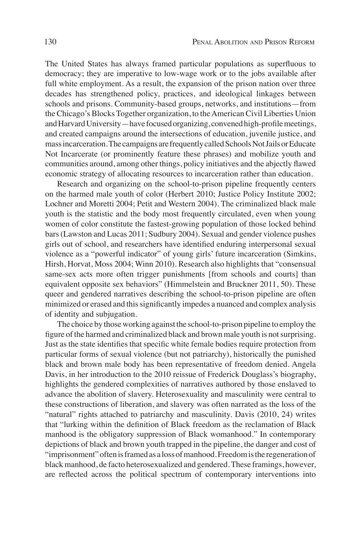The United States has always framed particular populations as superfluous to democracy; they are imperative to low-wage work or to the jobs available after full white employment. As a result, the expansion of the prison nation over three decades has strengthened policy, practices, and ideological linkages between schools and prisons. Community-based groups, networks, and institutions—from the Chicago's Blocks Together organization, to the American Civil Liberties Union and Harvard University—have focused organizing, convened high-profile meetings, and created campaigns around the intersections of education, juvenile justice, and mass incarceration. The campaigns are frequently called Schools Not Jails or Educate Not Incarcerate (or prominently feature these phrases) and mobilize youth and communities around, among other things, policy initiatives and the abjectly flawed economic strategy of allocating resources to incarceration rather than education.

Research and organizing on the school-to-prison pipeline frequently centers on the harmed male youth of color (Herbert 2010; Justice Policy Institute 2002; Lochner and Moretti 2004; Petit and Western 2004). The criminalized black male youth is the statistic and the body most frequently circulated, even when young women of color constitute the fastest-growing population of those locked behind bars (Lawston and Lucas 2011; Sudbury 2004). Sexual and gender violence pushes girls out of school, and researchers have identified enduring interpersonal sexual violence as a "powerful indicator" of young girls' future incarceration (Simkins, Hirsh, Horvat, Moss 2004; Winn 2010). Research also highlights that "consensual same-sex acts more often trigger punishments [from schools and courts] than equivalent opposite sex behaviors" (Himmelstein and Bruckner 2011, 50). These queer and gendered narratives describing the school-to-prison pipeline are often minimized or erased and this significantly impedes a nuanced and complex analysis of identity and subjugation.

The choice by those working against the school-to-prison pipeline to employ the figure of the harmed and criminalized black and brown male youth is not surprising. Just as the state identifies that specific white female bodies require protection from particular forms of sexual violence (but not patriarchy), historically the punished black and brown male body has been representative of freedom denied. Angela Davis, in her introduction to the 2010 reissue of Frederick Douglass's biography, highlights the gendered complexities of narratives authored by those enslaved to advance the abolition of slavery. Heterosexuality and masculinity were central to these constructions of liberation, and slavery was often narrated as the loss of the "natural" rights attached to patriarchy and masculinity. Davis (2010, 24) writes that "lurking within the definition of Black freedom as the reclamation of Black manhood is the obligatory suppression of Black womanhood." In contemporary depictions of black and brown youth trapped in the pipeline, the danger and cost of "imprisonment" often is framed as a loss of manhood. Freedom is the regeneration of black manhood, de facto heterosexualized and gendered. These framings, however, are reflected across the political spectrum of contemporary interventions into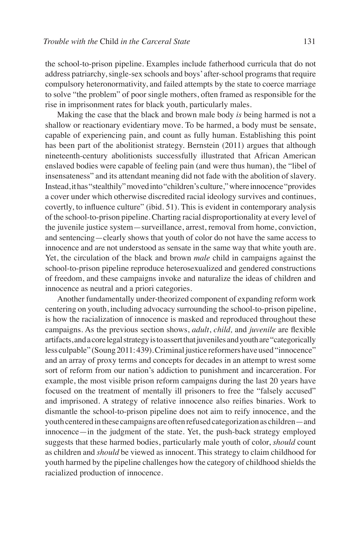the school-to-prison pipeline. Examples include fatherhood curricula that do not address patriarchy, single-sex schools and boys' after-school programs that require compulsory heteronormativity, and failed attempts by the state to coerce marriage to solve "the problem" of poor single mothers, often framed as responsible for the rise in imprisonment rates for black youth, particularly males.

Making the case that the black and brown male body *is* being harmed is not a shallow or reactionary evidentiary move. To be harmed, a body must be sensate, capable of experiencing pain, and count as fully human. Establishing this point has been part of the abolitionist strategy. Bernstein (2011) argues that although nineteenth-century abolitionists successfully illustrated that African American enslaved bodies were capable of feeling pain (and were thus human), the "libel of insensateness" and its attendant meaning did not fade with the abolition of slavery. Instead, it has "stealthily" moved into "children's culture," where innocence "provides a cover under which otherwise discredited racial ideology survives and continues, covertly, to influence culture" (ibid. 51). This is evident in contemporary analysis of the school-to-prison pipeline. Charting racial disproportionality at every level of the juvenile justice system—surveillance, arrest, removal from home, conviction, and sentencing—clearly shows that youth of color do not have the same access to innocence and are not understood as sensate in the same way that white youth are. Yet, the circulation of the black and brown *male* child in campaigns against the school-to-prison pipeline reproduce heterosexualized and gendered constructions of freedom, and these campaigns invoke and naturalize the ideas of children and innocence as neutral and a priori categories.

Another fundamentally under-theorized component of expanding reform work centering on youth, including advocacy surrounding the school-to-prison pipeline, is how the racialization of innocence is masked and reproduced throughout these campaigns. As the previous section shows, *adult*, *child,* and *juvenile* are flexible artifacts, and a core legal strategy is to assert that juveniles and youth are "categorically less culpable" (Soung 2011: 439).Criminal justice reformers have used "innocence" and an array of proxy terms and concepts for decades in an attempt to wrest some sort of reform from our nation's addiction to punishment and incarceration. For example, the most visible prison reform campaigns during the last 20 years have focused on the treatment of mentally ill prisoners to free the "falsely accused" and imprisoned. A strategy of relative innocence also reifies binaries. Work to dismantle the school-to-prison pipeline does not aim to reify innocence, and the youth centered in these campaigns are often refused categorization as children—and innocence—in the judgment of the state. Yet, the push-back strategy employed suggests that these harmed bodies, particularly male youth of color, *should* count as children and *should* be viewed as innocent. This strategy to claim childhood for youth harmed by the pipeline challenges how the category of childhood shields the racialized production of innocence.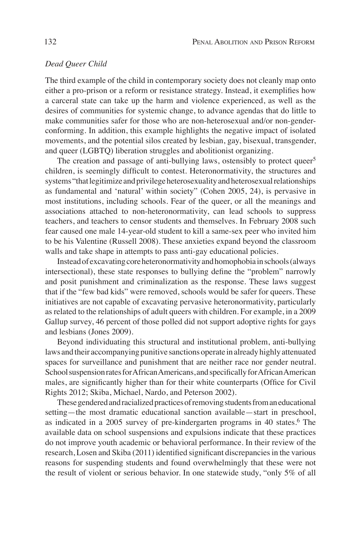# *Dead Queer Child*

The third example of the child in contemporary society does not cleanly map onto either a pro-prison or a reform or resistance strategy. Instead, it exemplifies how a carceral state can take up the harm and violence experienced, as well as the desires of communities for systemic change, to advance agendas that do little to make communities safer for those who are non-heterosexual and/or non-genderconforming. In addition, this example highlights the negative impact of isolated movements, and the potential silos created by lesbian, gay, bisexual, transgender, and queer (LGBTQ) liberation struggles and abolitionist organizing.

The creation and passage of anti-bullying laws, ostensibly to protect queer<sup>5</sup> children, is seemingly difficult to contest. Heteronormativity, the structures and systems "that legitimize and privilege heterosexuality and heterosexual relationships as fundamental and 'natural' within society" (Cohen 2005, 24), is pervasive in most institutions, including schools. Fear of the queer, or all the meanings and associations attached to non-heteronormativity, can lead schools to suppress teachers, and teachers to censor students and themselves. In February 2008 such fear caused one male 14-year-old student to kill a same-sex peer who invited him to be his Valentine (Russell 2008). These anxieties expand beyond the classroom walls and take shape in attempts to pass anti-gay educational policies.

Instead of excavating core heteronormativity and homophobia in schools (always intersectional), these state responses to bullying define the "problem" narrowly and posit punishment and criminalization as the response. These laws suggest that if the "few bad kids" were removed, schools would be safer for queers. These initiatives are not capable of excavating pervasive heteronormativity, particularly as related to the relationships of adult queers with children. For example, in a 2009 Gallup survey, 46 percent of those polled did not support adoptive rights for gays and lesbians (Jones 2009).

Beyond individuating this structural and institutional problem, anti-bullying laws and their accompanying punitive sanctions operate in already highly attenuated spaces for surveillance and punishment that are neither race nor gender neutral. School suspension rates for African Americans, and specifically for African American males, are significantly higher than for their white counterparts (Office for Civil Rights 2012; Skiba, Michael, Nardo, and Peterson 2002).

These gendered and racialized practices of removing students from an educational setting—the most dramatic educational sanction available—start in preschool, as indicated in a 2005 survey of pre-kindergarten programs in 40 states.<sup>6</sup> The available data on school suspensions and expulsions indicate that these practices do not improve youth academic or behavioral performance. In their review of the research, Losen and Skiba (2011) identified significant discrepancies in the various reasons for suspending students and found overwhelmingly that these were not the result of violent or serious behavior. In one statewide study, "only 5% of all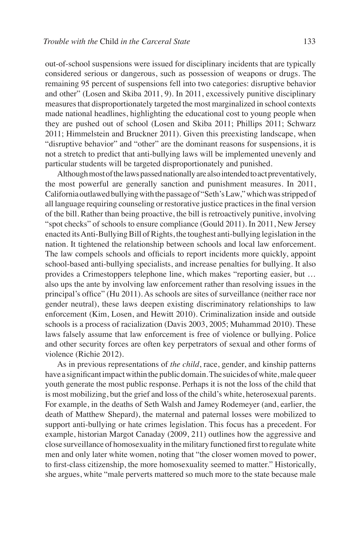out-of-school suspensions were issued for disciplinary incidents that are typically considered serious or dangerous, such as possession of weapons or drugs. The remaining 95 percent of suspensions fell into two categories: disruptive behavior and other" (Losen and Skiba 2011, 9). In 2011, excessively punitive disciplinary measures that disproportionately targeted the most marginalized in school contexts made national headlines, highlighting the educational cost to young people when they are pushed out of school (Losen and Skiba 2011; Phillips 2011; Schwarz 2011; Himmelstein and Bruckner 2011). Given this preexisting landscape, when "disruptive behavior" and "other" are the dominant reasons for suspensions, it is not a stretch to predict that anti-bullying laws will be implemented unevenly and particular students will be targeted disproportionately and punished.

Although most of the laws passed nationally are also intended to act preventatively, the most powerful are generally sanction and punishment measures. In 2011, California outlawed bullying with the passage of "Seth's Law," which was stripped of all language requiring counseling or restorative justice practices in the final version of the bill. Rather than being proactive, the bill is retroactively punitive, involving "spot checks" of schools to ensure compliance (Gould 2011). In 2011, New Jersey enacted its Anti-Bullying Bill of Rights, the toughest anti-bullying legislation in the nation. It tightened the relationship between schools and local law enforcement. The law compels schools and officials to report incidents more quickly, appoint school-based anti-bullying specialists, and increase penalties for bullying. It also provides a Crimestoppers telephone line, which makes "reporting easier, but … also ups the ante by involving law enforcement rather than resolving issues in the principal's office" (Hu 2011). As schools are sites of surveillance (neither race nor gender neutral), these laws deepen existing discriminatory relationships to law enforcement (Kim, Losen, and Hewitt 2010). Criminalization inside and outside schools is a process of racialization (Davis 2003, 2005; Muhammad 2010). These laws falsely assume that law enforcement is free of violence or bullying. Police and other security forces are often key perpetrators of sexual and other forms of violence (Richie 2012).

As in previous representations of *the child*, race, gender, and kinship patterns have a significant impact within the public domain. The suicides of white, male queer youth generate the most public response. Perhaps it is not the loss of the child that is most mobilizing, but the grief and loss of the child's white, heterosexual parents. For example, in the deaths of Seth Walsh and Jamey Rodemeyer (and, earlier, the death of Matthew Shepard), the maternal and paternal losses were mobilized to support anti-bullying or hate crimes legislation. This focus has a precedent. For example, historian Margot Canaday (2009, 211) outlines how the aggressive and close surveillance of homosexuality in the military functioned first to regulate white men and only later white women, noting that "the closer women moved to power, to first-class citizenship, the more homosexuality seemed to matter." Historically, she argues, white "male perverts mattered so much more to the state because male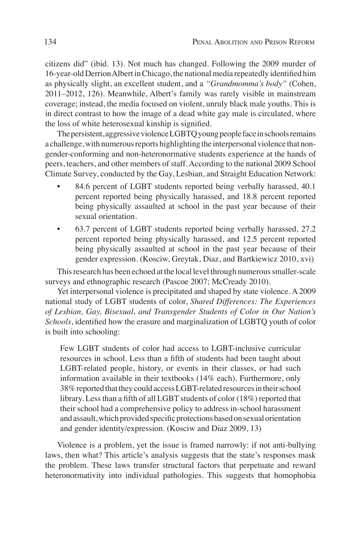citizens did" (ibid. 13). Not much has changed. Following the 2009 murder of 16-year-old Derrion Albert in Chicago, the national media repeatedly identified him as physically slight, an excellent student, and a *"Grandmomma's body"* (Cohen, 2011–2012, 126). Meanwhile, Albert's family was rarely visible in mainstream coverage; instead, the media focused on violent, unruly black male youths. This is in direct contrast to how the image of a dead white gay male is circulated, where the loss of white heterosexual kinship is signified.

The persistent, aggressive violence LGBTQ young people face in schools remains a challenge, with numerous reports highlighting the interpersonal violence that nongender-conforming and non-heteronormative students experience at the hands of peers, teachers, and other members of staff. According to the national 2009 School Climate Survey, conducted by the Gay, Lesbian, and Straight Education Network:

- 84.6 percent of LGBT students reported being verbally harassed, 40.1 percent reported being physically harassed, and 18.8 percent reported being physically assaulted at school in the past year because of their sexual orientation.
- 63.7 percent of LGBT students reported being verbally harassed, 27.2 percent reported being physically harassed, and 12.5 percent reported being physically assaulted at school in the past year because of their gender expression. (Kosciw, Greytak, Diaz, and Bartkiewicz 2010, xvi)

This research has been echoed at the local level through numerous smaller-scale surveys and ethnographic research (Pascoe 2007; McCready 2010).

Yet interpersonal violence is precipitated and shaped by state violence. A 2009 national study of LGBT students of color, *Shared Differences: The Experiences of Lesbian, Gay, Bisexual, and Transgender Students of Color in Our Nation's Schools*, identified how the erasure and marginalization of LGBTQ youth of color is built into schooling:

Few LGBT students of color had access to LGBT-inclusive curricular resources in school. Less than a fifth of students had been taught about LGBT-related people, history, or events in their classes, or had such information available in their textbooks (14% each). Furthermore, only 38% reported that they could access LGBT-related resources in their school library. Less than a fifth of all LGBT students of color (18%) reported that their school had a comprehensive policy to address in-school harassment and assault, which provided specific protections based on sexual orientation and gender identity/expression. (Kosciw and Diaz 2009, 13)

Violence is a problem, yet the issue is framed narrowly: if not anti-bullying laws, then what? This article's analysis suggests that the state's responses mask the problem. These laws transfer structural factors that perpetuate and reward heteronormativity into individual pathologies. This suggests that homophobia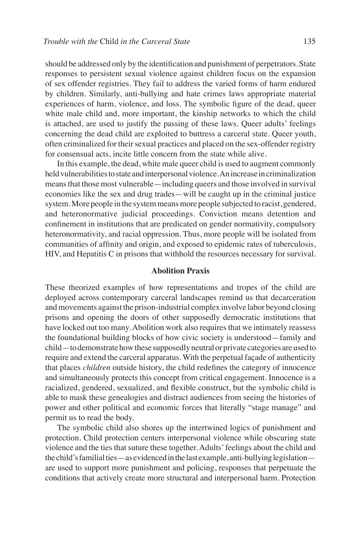should be addressed only by the identification and punishment of perpetrators. State responses to persistent sexual violence against children focus on the expansion of sex offender registries. They fail to address the varied forms of harm endured by children. Similarly, anti-bullying and hate crimes laws appropriate material experiences of harm, violence, and loss. The symbolic figure of the dead, queer white male child and, more important, the kinship networks to which the child is attached, are used to justify the passing of these laws. Queer adults' feelings concerning the dead child are exploited to buttress a carceral state. Queer youth, often criminalized for their sexual practices and placed on the sex-offender registry for consensual acts, incite little concern from the state while alive.

In this example, the dead, white male queer child is used to augment commonly held vulnerabilities to state and interpersonal violence. An increase in criminalization means that those most vulnerable—including queers and those involved in survival economies like the sex and drug trades—will be caught up in the criminal justice system. More people in the system means more people subjected to racist, gendered, and heteronormative judicial proceedings. Conviction means detention and confinement in institutions that are predicated on gender normativity, compulsory heteronormativity, and racial oppression. Thus, more people will be isolated from communities of affinity and origin, and exposed to epidemic rates of tuberculosis, HIV, and Hepatitis C in prisons that withhold the resources necessary for survival.

### **Abolition Praxis**

These theorized examples of how representations and tropes of the child are deployed across contemporary carceral landscapes remind us that decarceration and movements against the prison-industrial complex involve labor beyond closing prisons and opening the doors of other supposedly democratic institutions that have locked out too many. Abolition work also requires that we intimately reassess the foundational building blocks of how civic society is understood—family and child—to demonstrate how these supposedly neutral or private categories are used to require and extend the carceral apparatus. With the perpetual façade of authenticity that places *children* outside history, the child redefines the category of innocence and simultaneously protects this concept from critical engagement. Innocence is a racialized, gendered, sexualized, and flexible construct, but the symbolic child is able to mask these genealogies and distract audiences from seeing the histories of power and other political and economic forces that literally "stage manage" and permit us to read the body.

The symbolic child also shores up the intertwined logics of punishment and protection. Child protection centers interpersonal violence while obscuring state violence and the ties that suture these together. Adults' feelings about the child and the child's familial ties—as evidenced in the last example, anti-bullying legislation are used to support more punishment and policing, responses that perpetuate the conditions that actively create more structural and interpersonal harm. Protection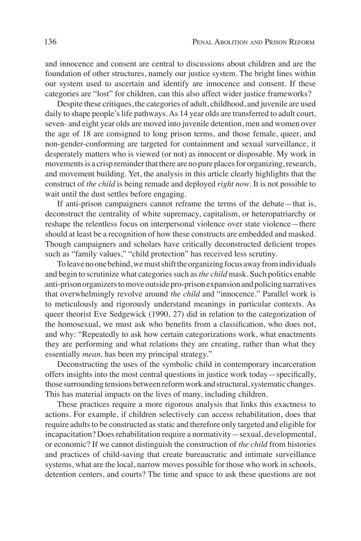and innocence and consent are central to discussions about children and are the foundation of other structures, namely our justice system. The bright lines within our system used to ascertain and identify are innocence and consent. If these categories are "lost" for children, can this also affect wider justice frameworks?

Despite these critiques, the categories of adult, childhood, and juvenile are used daily to shape people's life pathways. As 14 year olds are transferred to adult court, seven- and eight year olds are moved into juvenile detention, men and women over the age of 18 are consigned to long prison terms, and those female, queer, and non-gender-conforming are targeted for containment and sexual surveillance, it desperately matters who is viewed (or not) as innocent or disposable. My work in movements is a crisp reminder that there are no pure places for organizing, research, and movement building. Yet, the analysis in this article clearly highlights that the construct of *the child* is being remade and deployed *right now*. It is not possible to wait until the dust settles before engaging.

If anti-prison campaigners cannot reframe the terms of the debate—that is, deconstruct the centrality of white supremacy, capitalism, or heteropatriarchy or reshape the relentless focus on interpersonal violence over state violence—there should at least be a recognition of how these constructs are embedded and masked. Though campaigners and scholars have critically deconstructed deficient tropes such as "family values," "child protection" has received less scrutiny.

To leave no one behind, we must shift the organizing focus away from individuals and begin to scrutinize what categories such as *the child* mask. Such politics enable anti-prison organizers to move outside pro-prison expansion and policing narratives that overwhelmingly revolve around *the child* and "innocence." Parallel work is to meticulously and rigorously understand meanings in particular contexts. As queer theorist Eve Sedgewick (1990, 27) did in relation to the categorization of the homosexual, we must ask who benefits from a classification, who does not, and why: "Repeatedly to ask how certain categorizations work, what enactments they are performing and what relations they are creating, rather than what they essentially *mean,* has been my principal strategy."

Deconstructing the uses of the symbolic child in contemporary incarceration offers insights into the most central questions in justice work today—specifically, those surrounding tensions between reform work and structural, systematic changes. This has material impacts on the lives of many, including children.

These practices require a more rigorous analysis that links this exactness to actions. For example, if children selectively can access rehabilitation, does that require adults to be constructed as static and therefore only targeted and eligible for incapacitation? Does rehabilitation require a normativity—sexual, developmental, or economic? If we cannot distinguish the construction of *the child* from histories and practices of child-saving that create bureaucratic and intimate surveillance systems, what are the local, narrow moves possible for those who work in schools, detention centers, and courts? The time and space to ask these questions are not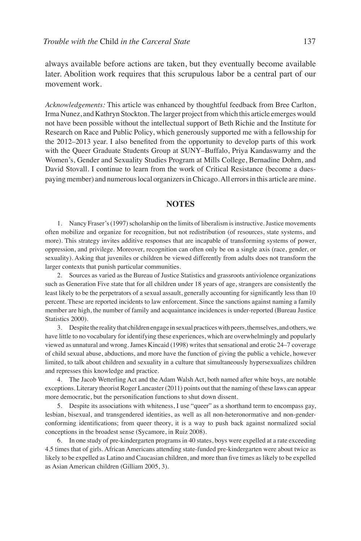always available before actions are taken, but they eventually become available later. Abolition work requires that this scrupulous labor be a central part of our movement work.

*Acknowledgements:* This article was enhanced by thoughtful feedback from Bree Carlton, Irma Nunez, and Kathryn Stockton. The larger project from which this article emerges would not have been possible without the intellectual support of Beth Richie and the Institute for Research on Race and Public Policy, which generously supported me with a fellowship for the 2012–2013 year. I also benefited from the opportunity to develop parts of this work with the Queer Graduate Students Group at SUNY–Buffalo, Priya Kandaswamy and the Women's, Gender and Sexuality Studies Program at Mills College, Bernadine Dohrn, and David Stovall. I continue to learn from the work of Critical Resistance (become a duespaying member) and numerous local organizers in Chicago. All errors in this article are mine.

#### **NOTES**

1. Nancy Fraser's (1997) scholarship on the limits of liberalism is instructive. Justice movements often mobilize and organize for recognition, but not redistribution (of resources, state systems, and more). This strategy invites additive responses that are incapable of transforming systems of power, oppression, and privilege. Moreover, recognition can often only be on a single axis (race, gender, or sexuality). Asking that juveniles or children be viewed differently from adults does not transform the larger contexts that punish particular communities.

2. Sources as varied as the Bureau of Justice Statistics and grassroots antiviolence organizations such as Generation Five state that for all children under 18 years of age, strangers are consistently the least likely to be the perpetrators of a sexual assault, generally accounting for significantly less than 10 percent. These are reported incidents to law enforcement. Since the sanctions against naming a family member are high, the number of family and acquaintance incidences is under-reported (Bureau Justice Statistics 2000).

3. Despite the reality that children engage in sexual practices with peers, themselves, and others, we have little to no vocabulary for identifying these experiences, which are overwhelmingly and popularly viewed as unnatural and wrong. James Kincaid (1998) writes that sensational and erotic 24–7 coverage of child sexual abuse, abductions, and more have the function of giving the public a vehicle, however limited, to talk about children and sexuality in a culture that simultaneously hypersexualizes children and represses this knowledge and practice.

4. The Jacob Wetterling Act and the Adam Walsh Act, both named after white boys, are notable exceptions. Literary theorist Roger Lancaster (2011) points out that the naming of these laws can appear more democratic, but the personification functions to shut down dissent.

5. Despite its associations with whiteness, I use "queer" as a shorthand term to encompass gay, lesbian, bisexual, and transgendered identities, as well as all non-heteronormative and non-genderconforming identifications; from queer theory, it is a way to push back against normalized social conceptions in the broadest sense (Sycamore, in Ruiz 2008).

6. In one study of pre-kindergarten programs in 40 states, boys were expelled at a rate exceeding 4.5 times that of girls. African Americans attending state-funded pre-kindergarten were about twice as likely to be expelled as Latino and Caucasian children, and more than five times as likely to be expelled as Asian American children (Gilliam 2005, 3).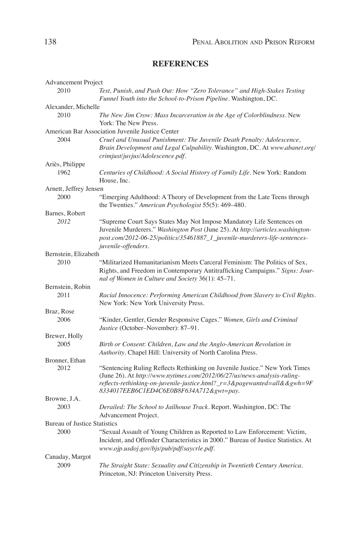# **REFERENCES**

| Advancement Project                 |                                                                                                                                                                                                                                                                                |
|-------------------------------------|--------------------------------------------------------------------------------------------------------------------------------------------------------------------------------------------------------------------------------------------------------------------------------|
| 2010                                | Test, Punish, and Push Out: How "Zero Tolerance" and High-Stakes Testing<br>Funnel Youth into the School-to-Prison Pipeline. Washington, DC.                                                                                                                                   |
| Alexander, Michelle                 |                                                                                                                                                                                                                                                                                |
| 2010                                | The New Jim Crow: Mass Incarceration in the Age of Colorblindness. New<br>York: The New Press.                                                                                                                                                                                 |
|                                     | American Bar Association Juvenile Justice Center                                                                                                                                                                                                                               |
| 2004                                | Cruel and Unusual Punishment: The Juvenile Death Penalty: Adolescence,<br>Brain Development and Legal Culpability. Washington, DC. At www.abanet.org/<br>crimjust/juvjus/Adolescence.pdf.                                                                                      |
| Ariès, Philippe                     |                                                                                                                                                                                                                                                                                |
| 1962                                | Centuries of Childhood: A Social History of Family Life. New York: Random<br>House, Inc.                                                                                                                                                                                       |
| Arnett, Jeffrey Jensen              |                                                                                                                                                                                                                                                                                |
| 2000                                | "Emerging Adulthood: A Theory of Development from the Late Teens through<br>the Twenties." American Psychologist 55(5): 469-480.                                                                                                                                               |
| Barnes, Robert                      |                                                                                                                                                                                                                                                                                |
| 2012                                | "Supreme Court Says States May Not Impose Mandatory Life Sentences on<br>Juvenile Murderers." Washington Post (June 25). At http://articles.washington-<br>post.com/2012-06-25/politics/35461887_1_juvenile-murderers-life-sentences-<br>juvenile-offenders.                   |
| Bernstein, Elizabeth                |                                                                                                                                                                                                                                                                                |
| 2010                                | "Militarized Humanitarianism Meets Carceral Feminism: The Politics of Sex,<br>Rights, and Freedom in Contemporary Antitrafficking Campaigns." Signs: Jour-<br>nal of Women in Culture and Society 36(1): 45-71.                                                                |
| Bernstein, Robin                    |                                                                                                                                                                                                                                                                                |
| 2011                                | Racial Innocence: Performing American Childhood from Slavery to Civil Rights.<br>New York: New York University Press.                                                                                                                                                          |
| Braz, Rose                          |                                                                                                                                                                                                                                                                                |
| 2006                                | "Kinder, Gentler, Gender Responsive Cages." Women, Girls and Criminal<br>Justice (October-November): 87-91.                                                                                                                                                                    |
| Brewer, Holly                       |                                                                                                                                                                                                                                                                                |
| 2005                                | Birth or Consent: Children, Law and the Anglo-American Revolution in<br>Authority. Chapel Hill: University of North Carolina Press.                                                                                                                                            |
| Bronner, Ethan                      |                                                                                                                                                                                                                                                                                |
| 2012                                | "Sentencing Ruling Reflects Rethinking on Juvenile Justice." New York Times<br>(June 26). At http://www.nytimes.com/2012/06/27/us/news-analysis-ruling-<br>reflects-rethinking-on-juvenile-justice.html?_r=3&pagewanted=all&&gwh=9F<br>8334017EEB6C1ED4C6E0B8F634A712&gwt=pay. |
| Browne, J.A.                        |                                                                                                                                                                                                                                                                                |
| 2003                                | Derailed: The School to Jailhouse Track. Report. Washington, DC: The<br>Advancement Project.                                                                                                                                                                                   |
| <b>Bureau of Justice Statistics</b> |                                                                                                                                                                                                                                                                                |
| 2000                                | "Sexual Assault of Young Children as Reported to Law Enforcement: Victim,<br>Incident, and Offender Characteristics in 2000." Bureau of Justice Statistics. At<br>www.ojp.usdoj.gov/bjs/pub/pdf/saycrle.pdf.                                                                   |
| Canaday, Margot                     |                                                                                                                                                                                                                                                                                |
| 2009                                | The Straight State: Sexuality and Citizenship in Twentieth Century America.<br>Princeton, NJ: Princeton University Press.                                                                                                                                                      |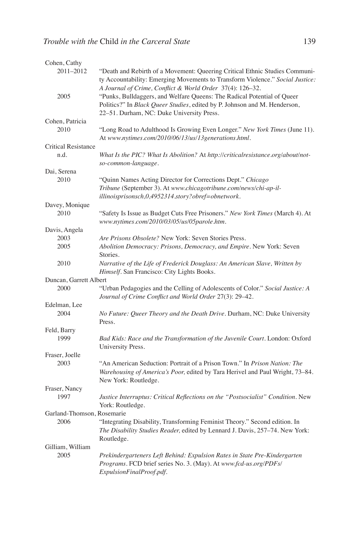| Cohen, Cathy               |                                                                                                     |
|----------------------------|-----------------------------------------------------------------------------------------------------|
| 2011-2012                  | "Death and Rebirth of a Movement: Queering Critical Ethnic Studies Communi-                         |
|                            | ty Accountability: Emerging Movements to Transform Violence." Social Justice:                       |
|                            | A Journal of Crime, Conflict & World Order 37(4): 126-32.                                           |
| 2005                       | "Punks, Bulldaggers, and Welfare Queens: The Radical Potential of Queer                             |
|                            | Politics?" In Black Queer Studies, edited by P. Johnson and M. Henderson,                           |
|                            | 22-51. Durham, NC: Duke University Press.                                                           |
| Cohen, Patricia            |                                                                                                     |
| 2010                       | "Long Road to Adulthood Is Growing Even Longer." New York Times (June 11).                          |
|                            | At www.nytimes.com/2010/06/13/us/13generations.html.                                                |
| <b>Critical Resistance</b> |                                                                                                     |
| n.d.                       | What Is the PIC? What Is Abolition? At http://criticalresistance.org/about/not-                     |
|                            | so-common-language.                                                                                 |
| Dai, Serena                |                                                                                                     |
| 2010                       | "Quinn Names Acting Director for Corrections Dept." Chicago                                         |
|                            | Tribune (September 3). At www.chicagotribune.com/news/chi-ap-il-                                    |
|                            | illinoisprisonsch,0,4952314.story?obref=obnetwork.                                                  |
| Davey, Monique             |                                                                                                     |
| 2010                       | "Safety Is Issue as Budget Cuts Free Prisoners." New York Times (March 4). At                       |
|                            | www.nytimes.com/2010/03/05/us/05parole.htm.                                                         |
| Davis, Angela              |                                                                                                     |
| 2003                       | Are Prisons Obsolete? New York: Seven Stories Press.                                                |
| 2005                       | Abolition Democracy: Prisons, Democracy, and Empire. New York: Seven                                |
|                            | Stories.                                                                                            |
| 2010                       | Narrative of the Life of Frederick Douglass: An American Slave, Written by                          |
|                            | Himself. San Francisco: City Lights Books.                                                          |
| Duncan, Garrett Albert     |                                                                                                     |
| 2000                       | "Urban Pedagogies and the Celling of Adolescents of Color." Social Justice: A                       |
|                            | Journal of Crime Conflict and World Order 27(3): 29-42.                                             |
| Edelman, Lee               |                                                                                                     |
| 2004                       | No Future: Queer Theory and the Death Drive. Durham, NC: Duke University                            |
|                            | Press.                                                                                              |
| Feld, Barry                |                                                                                                     |
| 1999                       | Bad Kids: Race and the Transformation of the Juvenile Court. London: Oxford                         |
|                            | University Press.                                                                                   |
| Fraser, Joelle             |                                                                                                     |
| 2003                       | "An American Seduction: Portrait of a Prison Town." In <i>Prison Nation: The</i>                    |
|                            | Warehousing of America's Poor, edited by Tara Herivel and Paul Wright, 73-84.                       |
|                            | New York: Routledge.                                                                                |
| Fraser, Nancy              |                                                                                                     |
| 1997                       | Justice Interruptus: Critical Reflections on the "Postsocialist" Condition. New<br>York: Routledge. |
| Garland-Thomson, Rosemarie |                                                                                                     |
| 2006                       | "Integrating Disability, Transforming Feminist Theory." Second edition. In                          |
|                            | The Disability Studies Reader, edited by Lennard J. Davis, 257-74. New York:                        |
|                            | Routledge.                                                                                          |
| Gilliam, William           |                                                                                                     |
| 2005                       | Prekindergarteners Left Behind: Expulsion Rates in State Pre-Kindergarten                           |
|                            | Programs. FCD brief series No. 3. (May). At www.fcd-us.org/PDFs/                                    |
|                            | ExpulsionFinalProof.pdf.                                                                            |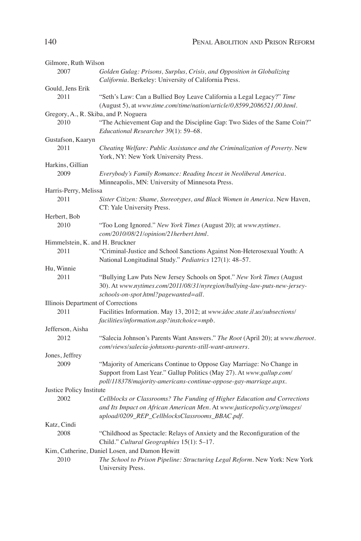| Gilmore, Ruth Wilson                          |                                                                                                                                                                                                                    |
|-----------------------------------------------|--------------------------------------------------------------------------------------------------------------------------------------------------------------------------------------------------------------------|
| 2007                                          | Golden Gulag: Prisons, Surplus, Crisis, and Opposition in Globalizing<br>California. Berkeley: University of California Press.                                                                                     |
| Gould, Jens Erik                              |                                                                                                                                                                                                                    |
| 2011                                          | "Seth's Law: Can a Bullied Boy Leave California a Legal Legacy?" Time<br>(August 5), at www.time.com/time/nation/article/0,8599,2086521,00.html.                                                                   |
| Gregory, A., R. Skiba, and P. Noguera<br>2010 | "The Achievement Gap and the Discipline Gap: Two Sides of the Same Coin?"<br>Educational Researcher 39(1): 59-68.                                                                                                  |
| Gustafson, Kaaryn                             |                                                                                                                                                                                                                    |
| 2011                                          | Cheating Welfare: Public Assistance and the Criminalization of Poverty. New<br>York, NY: New York University Press.                                                                                                |
| Harkins, Gillian                              |                                                                                                                                                                                                                    |
| 2009                                          | Everybody's Family Romance: Reading Incest in Neoliberal America.<br>Minneapolis, MN: University of Minnesota Press.                                                                                               |
| Harris-Perry, Melissa                         |                                                                                                                                                                                                                    |
| 2011                                          | Sister Citizen: Shame, Stereotypes, and Black Women in America. New Haven,<br>CT: Yale University Press.                                                                                                           |
| Herbert, Bob                                  |                                                                                                                                                                                                                    |
| 2010                                          | "Too Long Ignored." New York Times (August 20); at www.nytimes.<br>com/2010/08/21/opinion/21herbert.html.                                                                                                          |
| Himmelstein, K. and H. Bruckner               |                                                                                                                                                                                                                    |
| 2011                                          | "Criminal-Justice and School Sanctions Against Non-Heterosexual Youth: A<br>National Longitudinal Study." Pediatrics 127(1): 48-57.                                                                                |
| Hu, Winnie                                    |                                                                                                                                                                                                                    |
| 2011                                          | "Bullying Law Puts New Jersey Schools on Spot." New York Times (August<br>30). At www.nytimes.com/2011/08/31/nyregion/bullying-law-puts-new-jersey-<br>schools-on-spot.html?pagewanted=all.                        |
| Illinois Department of Corrections            |                                                                                                                                                                                                                    |
| 2011                                          | Facilities Information. May 13, 2012; at www.idoc.state.il.us/subsections/<br>facilities/information.asp?instchoice=mpb.                                                                                           |
| Jefferson, Aisha                              |                                                                                                                                                                                                                    |
| 2012                                          | "Salecia Johnson's Parents Want Answers." The Root (April 20); at www.theroot.<br>com/views/salecia-johnsons-parents-still-want-answers.                                                                           |
| Jones, Jeffrey                                |                                                                                                                                                                                                                    |
| 2009                                          | "Majority of Americans Continue to Oppose Gay Marriage: No Change in<br>Support from Last Year." Gallup Politics (May 27). At www.gallup.com/<br>poll/118378/majority-americans-continue-oppose-gay-marriage.aspx. |
| Justice Policy Institute                      |                                                                                                                                                                                                                    |
| 2002                                          | Cellblocks or Classrooms? The Funding of Higher Education and Corrections<br>and Its Impact on African American Men. At www.justicepolicy.org/images/<br>upload/0209_REP_CellblocksClassrooms_BBAC.pdf.            |
| Katz, Cindi                                   |                                                                                                                                                                                                                    |
| 2008                                          | "Childhood as Spectacle: Relays of Anxiety and the Reconfiguration of the<br>Child." Cultural Geographies 15(1): 5-17.                                                                                             |
|                                               | Kim, Catherine, Daniel Losen, and Damon Hewitt                                                                                                                                                                     |
| 2010                                          | The School to Prison Pipeline: Structuring Legal Reform. New York: New York<br>University Press.                                                                                                                   |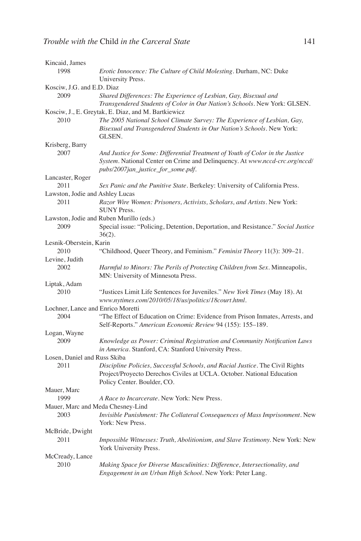| Kincaid, James                    |                                                                                                                                                                                                    |
|-----------------------------------|----------------------------------------------------------------------------------------------------------------------------------------------------------------------------------------------------|
| 1998                              | Erotic Innocence: The Culture of Child Molesting. Durham, NC: Duke<br>University Press.                                                                                                            |
| Kosciw, J.G. and E.D. Diaz        |                                                                                                                                                                                                    |
| 2009                              | Shared Differences: The Experience of Lesbian, Gay, Bisexual and<br>Transgendered Students of Color in Our Nation's Schools. New York: GLSEN.                                                      |
|                                   | Kosciw, J., E. Greytak, E. Diaz, and M. Bartkiewicz                                                                                                                                                |
| 2010                              | The 2005 National School Climate Survey: The Experience of Lesbian, Gay,<br>Bisexual and Transgendered Students in Our Nation's Schools. New York:<br>GLSEN.                                       |
| Krisberg, Barry                   |                                                                                                                                                                                                    |
| 2007                              | And Justice for Some: Differential Treatment of Youth of Color in the Justice<br>System. National Center on Crime and Delinquency. At www.nccd-crc.org/nccd/<br>pubs/2007jan_justice_for_some.pdf. |
| Lancaster, Roger                  |                                                                                                                                                                                                    |
| 2011                              | Sex Panic and the Punitive State. Berkeley: University of California Press.                                                                                                                        |
| Lawston, Jodie and Ashley Lucas   |                                                                                                                                                                                                    |
| 2011                              | Razor Wire Women: Prisoners, Activists, Scholars, and Artists. New York:<br><b>SUNY Press.</b>                                                                                                     |
|                                   | Lawston, Jodie and Ruben Murillo (eds.)                                                                                                                                                            |
| 2009                              | Special issue: "Policing, Detention, Deportation, and Resistance." Social Justice<br>$36(2)$ .                                                                                                     |
| Lesnik-Oberstein, Karin           |                                                                                                                                                                                                    |
| 2010                              | "Childhood, Queer Theory, and Feminism." Feminist Theory 11(3): 309-21.                                                                                                                            |
| Levine, Judith                    |                                                                                                                                                                                                    |
| 2002                              | Harmful to Minors: The Perils of Protecting Children from Sex. Minneapolis,<br>MN: University of Minnesota Press.                                                                                  |
| Liptak, Adam                      |                                                                                                                                                                                                    |
| 2010                              | "Justices Limit Life Sentences for Juveniles." New York Times (May 18). At<br>www.nytimes.com/2010/05/18/us/politics/18court.html.                                                                 |
| Lochner, Lance and Enrico Moretti |                                                                                                                                                                                                    |
| 2004                              | "The Effect of Education on Crime: Evidence from Prison Inmates, Arrests, and<br>Self-Reports." American Economic Review 94 (155): 155-189.                                                        |
| Logan, Wayne                      |                                                                                                                                                                                                    |
| 2009                              | Knowledge as Power: Criminal Registration and Community Notification Laws<br>in America. Stanford, CA: Stanford University Press.                                                                  |
| Losen, Daniel and Russ Skiba      |                                                                                                                                                                                                    |
| 2011                              | Discipline Policies, Successful Schools, and Racial Justice. The Civil Rights<br>Project/Proyecto Derechos Civiles at UCLA. October. National Education<br>Policy Center. Boulder, CO.             |
| Mauer, Marc                       |                                                                                                                                                                                                    |
| 1999                              | A Race to Incarcerate. New York: New Press.                                                                                                                                                        |
| Mauer, Marc and Meda Chesney-Lind |                                                                                                                                                                                                    |
| 2003                              | Invisible Punishment: The Collateral Consequences of Mass Imprisonment. New<br>York: New Press.                                                                                                    |
| McBride, Dwight                   |                                                                                                                                                                                                    |
| 2011                              | Impossible Witnesses: Truth, Abolitionism, and Slave Testimony. New York: New<br>York University Press.                                                                                            |
| McCready, Lance                   |                                                                                                                                                                                                    |
| 2010                              | Making Space for Diverse Masculinities: Difference, Intersectionality, and<br>Engagement in an Urban High School. New York: Peter Lang.                                                            |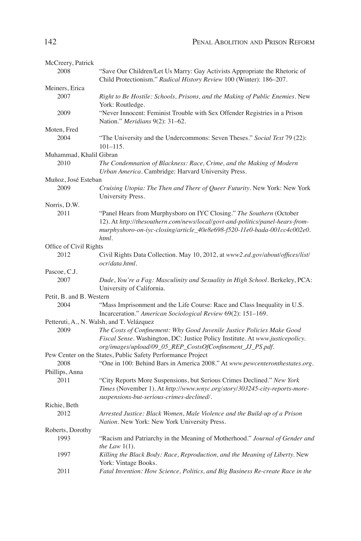| McCreery, Patrick        |                                                                                                                                                                                                                                            |
|--------------------------|--------------------------------------------------------------------------------------------------------------------------------------------------------------------------------------------------------------------------------------------|
| 2008                     | "Save Our Children/Let Us Marry: Gay Activists Appropriate the Rhetoric of<br>Child Protectionism." Radical History Review 100 (Winter): 186-207.                                                                                          |
| Meiners, Erica           |                                                                                                                                                                                                                                            |
| 2007                     | Right to Be Hostile: Schools, Prisons, and the Making of Public Enemies. New<br>York: Routledge.                                                                                                                                           |
| 2009                     | "Never Innocent: Feminist Trouble with Sex Offender Registries in a Prison<br>Nation." Meridians 9(2): 31-62.                                                                                                                              |
| Moten, Fred              |                                                                                                                                                                                                                                            |
| 2004                     | "The University and the Undercommons: Seven Theses." Social Text 79 (22):<br>$101 - 115$ .                                                                                                                                                 |
| Muhammad, Khalil Gibran  |                                                                                                                                                                                                                                            |
| 2010                     | The Condemnation of Blackness: Race, Crime, and the Making of Modern<br>Urban America. Cambridge: Harvard University Press.                                                                                                                |
| Muñoz, José Esteban      |                                                                                                                                                                                                                                            |
| 2009                     | Cruising Utopia: The Then and There of Queer Futurity. New York: New York<br>University Press.                                                                                                                                             |
| Norris, D.W.             |                                                                                                                                                                                                                                            |
| 2011                     | "Panel Hears from Murphysboro on IYC Closing." The Southern (October<br>12). At http://thesouthern.com/news/local/govt-and-politics/panel-hears-from-<br>murphysboro-on-iyc-closing/article_40e8e698-f520-11e0-bada-001cc4c002e0.<br>html. |
| Office of Civil Rights   |                                                                                                                                                                                                                                            |
| 2012                     | Civil Rights Data Collection. May 10, 2012, at www2.ed.gov/about/offices/list/<br>ocr/data.html.                                                                                                                                           |
| Pascoe, C.J.             |                                                                                                                                                                                                                                            |
| 2007                     | Dude, You're a Fag: Masculinity and Sexuality in High School. Berkeley, PCA:<br>University of California.                                                                                                                                  |
| Petit, B. and B. Western |                                                                                                                                                                                                                                            |
| 2004                     | "Mass Imprisonment and the Life Course: Race and Class Inequality in U.S.<br>Incarceration." American Sociological Review 69(2): 151-169.                                                                                                  |
|                          | Petteruti, A., N. Walsh, and T. Velázquez                                                                                                                                                                                                  |
| 2009                     | The Costs of Confinement: Why Good Juvenile Justice Policies Make Good<br>Fiscal Sense. Washington, DC: Justice Policy Institute. At www.justicepolicy.<br>org/images/upload/09_05_REP_CostsOfConfinement_JJ_PS.pdf.                       |
|                          | Pew Center on the States, Public Safety Performance Project                                                                                                                                                                                |
| 2008                     | "One in 100: Behind Bars in America 2008." At www.pewcenteronthestates.org.                                                                                                                                                                |
| Phillips, Anna           |                                                                                                                                                                                                                                            |
| 2011                     | "City Reports More Suspensions, but Serious Crimes Declined." New York<br>Times (November 1). At http://www.wnyc.org/story/303245-city-reports-more-<br>suspensions-but-serious-crimes-declined/.                                          |
| Richie, Beth             |                                                                                                                                                                                                                                            |
| 2012                     | Arrested Justice: Black Women, Male Violence and the Build-up of a Prison<br>Nation. New York: New York University Press.                                                                                                                  |
| Roberts, Dorothy         |                                                                                                                                                                                                                                            |
| 1993                     | "Racism and Patriarchy in the Meaning of Motherhood." Journal of Gender and<br>the Law $1(1)$ .                                                                                                                                            |
| 1997                     | Killing the Black Body: Race, Reproduction, and the Meaning of Liberty. New<br>York: Vintage Books.                                                                                                                                        |
| 2011                     | Fatal Invention: How Science, Politics, and Big Business Re-create Race in the                                                                                                                                                             |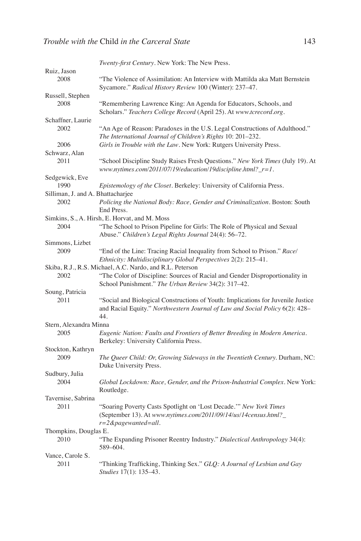|                                   | Twenty-first Century. New York: The New Press.                                                                                                                           |
|-----------------------------------|--------------------------------------------------------------------------------------------------------------------------------------------------------------------------|
| Ruiz, Jason                       |                                                                                                                                                                          |
| 2008                              | "The Violence of Assimilation: An Interview with Mattilda aka Matt Bernstein<br>Sycamore." Radical History Review 100 (Winter): 237-47.                                  |
| Russell, Stephen                  |                                                                                                                                                                          |
| 2008                              | "Remembering Lawrence King: An Agenda for Educators, Schools, and<br>Scholars." Teachers College Record (April 25). At www.tcrecord.org.                                 |
| Schaffner, Laurie                 |                                                                                                                                                                          |
| 2002                              | "An Age of Reason: Paradoxes in the U.S. Legal Constructions of Adulthood."<br>The International Journal of Children's Rights 10: 201-232.                               |
| 2006                              | Girls in Trouble with the Law. New York: Rutgers University Press.                                                                                                       |
| Schwarz, Alan<br>2011             | "School Discipline Study Raises Fresh Questions." New York Times (July 19). At                                                                                           |
|                                   | www.nytimes.com/2011/07/19/education/19discipline.html? $_r=1$ .                                                                                                         |
| Sedgewick, Eve                    |                                                                                                                                                                          |
| 1990                              | <i>Epistemology of the Closet.</i> Berkeley: University of California Press.                                                                                             |
| Silliman, J. and A. Bhattacharjee |                                                                                                                                                                          |
| 2002                              | Policing the National Body: Race, Gender and Criminalization. Boston: South<br>End Press.                                                                                |
|                                   | Simkins, S., A. Hirsh, E. Horvat, and M. Moss                                                                                                                            |
| 2004                              | "The School to Prison Pipeline for Girls: The Role of Physical and Sexual<br>Abuse." Children's Legal Rights Journal 24(4): 56-72.                                       |
| Simmons, Lizbet                   |                                                                                                                                                                          |
| 2009                              | "End of the Line: Tracing Racial Inequality from School to Prison." Race/<br>Ethnicity: Multidisciplinary Global Perspectives 2(2): 215-41.                              |
|                                   | Skiba, R.J., R.S. Michael, A.C. Nardo, and R.L. Peterson                                                                                                                 |
| 2002                              | "The Color of Discipline: Sources of Racial and Gender Disproportionality in<br>School Punishment." The Urban Review 34(2): 317-42.                                      |
| Soung, Patricia                   |                                                                                                                                                                          |
| 2011                              | "Social and Biological Constructions of Youth: Implications for Juvenile Justice"<br>and Racial Equity." Northwestern Journal of Law and Social Policy 6(2): 428-<br>44. |
| Stern, Alexandra Minna            |                                                                                                                                                                          |
| 2005                              | Eugenic Nation: Faults and Frontiers of Better Breeding in Modern America.<br>Berkeley: University California Press.                                                     |
| Stockton, Kathryn                 |                                                                                                                                                                          |
| 2009                              | The Queer Child: Or, Growing Sideways in the Twentieth Century. Durham, NC:<br>Duke University Press.                                                                    |
| Sudbury, Julia                    |                                                                                                                                                                          |
| 2004                              | Global Lockdown: Race, Gender, and the Prison-Industrial Complex. New York:<br>Routledge.                                                                                |
| Tavernise, Sabrina                |                                                                                                                                                                          |
| 2011                              | "Soaring Poverty Casts Spotlight on 'Lost Decade." New York Times<br>(September 13). At www.nytimes.com/2011/09/14/us/14census.html?_<br>$r = 2$ &pagewanted=all.        |
| Thompkins, Douglas E.             |                                                                                                                                                                          |
| 2010                              | "The Expanding Prisoner Reentry Industry." Dialectical Anthropology 34(4):<br>589-604.                                                                                   |
| Vance, Carole S.                  |                                                                                                                                                                          |
| 2011                              | "Thinking Trafficking, Thinking Sex." GLQ: A Journal of Lesbian and Gay<br>Studies 17(1): 135-43.                                                                        |